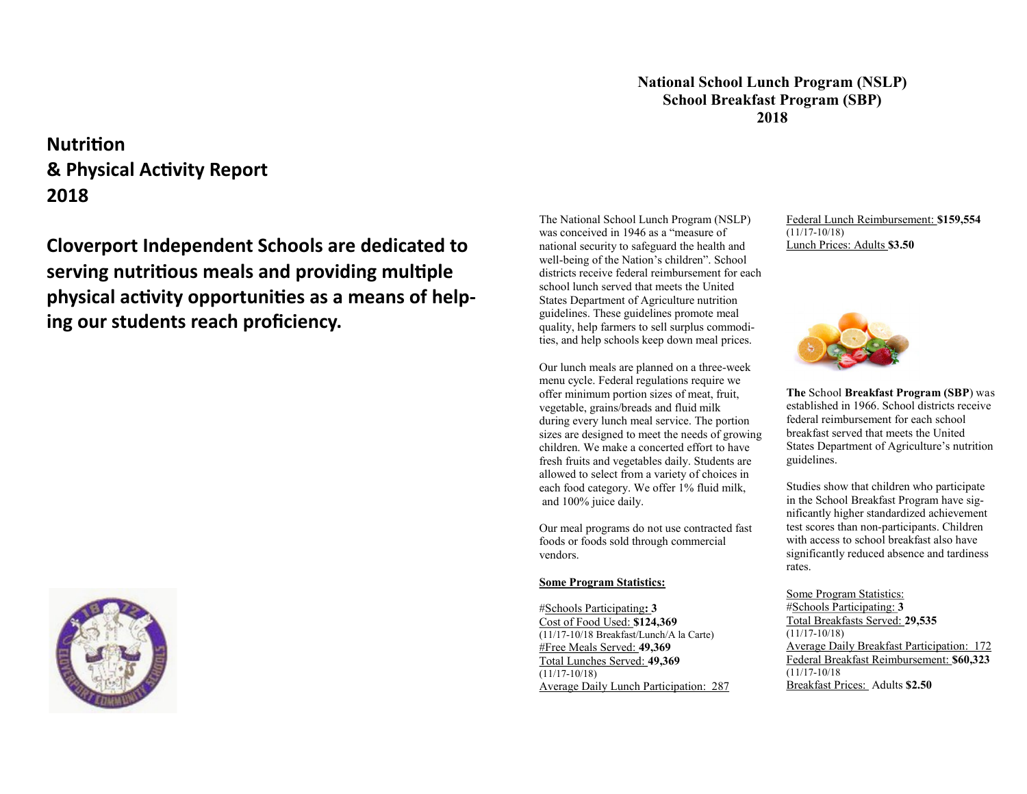### **National School Lunch Program (NSLP) School Breakfast Program (SBP) 2018**

# **Nutrition & Physical Activity Report 2018**

**Cloverport Independent Schools are dedicated to serving nutritious meals and providing multiple physical activity opportunities as a means of helping our students reach proficiency.**



The National School Lunch Program (NSLP) was conceived in 1946 as a "measure of national security to safeguard the health and well-being of the Nation's children". School districts receive federal reimbursement for each school lunch served that meets the United States Department of Agriculture nutrition guidelines. These guidelines promote meal quality, help farmers to sell surplus commodities, and help schools keep down meal prices.

Our lunch meals are planned on a three-week menu cycle. Federal regulations require we offer minimum portion sizes of meat, fruit, vegetable, grains/breads and fluid milk during every lunch meal service. The portion sizes are designed to meet the needs of growing children. We make a concerted effort to have fresh fruits and vegetables daily. Students are allowed to select from a variety of choices in each food category. We offer 1% fluid milk, and 100% juice daily.

Our meal programs do not use contracted fast foods or foods sold through commercial vendors.

#### **Some Program Statistics:**

#Schools Participating**: 3** Cost of Food Used: **\$124,369** (11/17-10/18 Breakfast/Lunch/A la Carte) #Free Meals Served: **49,369** Total Lunches Served: **49,369** (11/17-10/18) Average Daily Lunch Participation: 287 Federal Lunch Reimbursement: **\$159,554** (11/17-10/18) Lunch Prices: Adults **\$3.50**



**The** School **Breakfast Program (SBP**) was established in 1966. School districts receive federal reimbursement for each school breakfast served that meets the United States Department of Agriculture's nutrition guidelines.

Studies show that children who participate in the School Breakfast Program have significantly higher standardized achievement test scores than non-participants. Children with access to school breakfast also have significantly reduced absence and tardiness rates.

Some Program Statistics: #Schools Participating: **3** Total Breakfasts Served: **29,535** (11/17-10/18) Average Daily Breakfast Participation: 172 Federal Breakfast Reimbursement: **\$60,323** (11/17-10/18 Breakfast Prices: Adults **\$2.50**